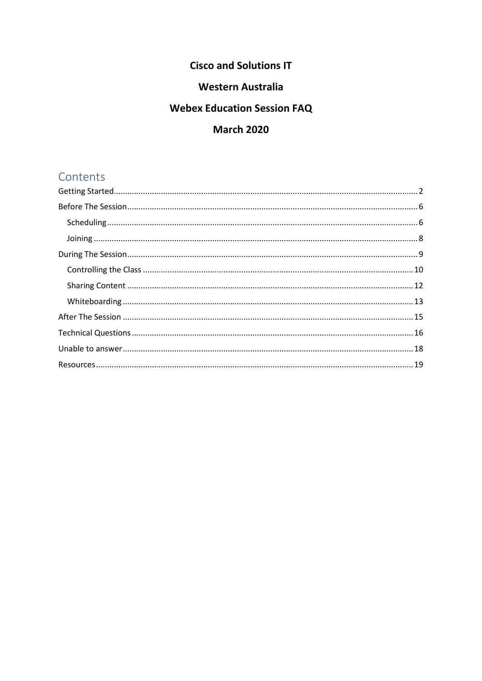## **Cisco and Solutions IT**

## **Western Australia**

## **Webex Education Session FAQ**

## **March 2020**

# Contents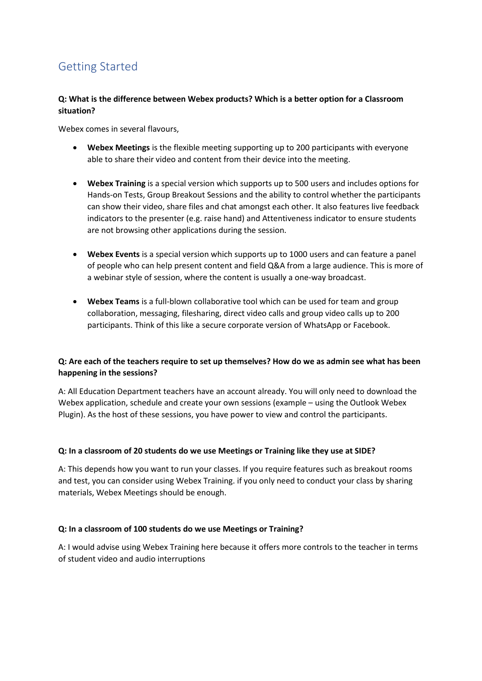# <span id="page-1-0"></span>Getting Started

### **Q: What is the difference between Webex products? Which is a better option for a Classroom situation?**

Webex comes in several flavours,

- **Webex Meetings** is the flexible meeting supporting up to 200 participants with everyone able to share their video and content from their device into the meeting.
- **Webex Training** is a special version which supports up to 500 users and includes options for Hands-on Tests, Group Breakout Sessions and the ability to control whether the participants can show their video, share files and chat amongst each other. It also features live feedback indicators to the presenter (e.g. raise hand) and Attentiveness indicator to ensure students are not browsing other applications during the session.
- **Webex Events** is a special version which supports up to 1000 users and can feature a panel of people who can help present content and field Q&A from a large audience. This is more of a webinar style of session, where the content is usually a one-way broadcast.
- **Webex Teams** is a full-blown collaborative tool which can be used for team and group collaboration, messaging, filesharing, direct video calls and group video calls up to 200 participants. Think of this like a secure corporate version of WhatsApp or Facebook.

### **Q: Are each of the teachers require to set up themselves? How do we as admin see what has been happening in the sessions?**

A: All Education Department teachers have an account already. You will only need to download the Webex application, schedule and create your own sessions (example – using the Outlook Webex Plugin). As the host of these sessions, you have power to view and control the participants.

### **Q: In a classroom of 20 students do we use Meetings or Training like they use at SIDE?**

A: This depends how you want to run your classes. If you require features such as breakout rooms and test, you can consider using Webex Training. if you only need to conduct your class by sharing materials, Webex Meetings should be enough.

### **Q: In a classroom of 100 students do we use Meetings or Training?**

A: I would advise using Webex Training here because it offers more controls to the teacher in terms of student video and audio interruptions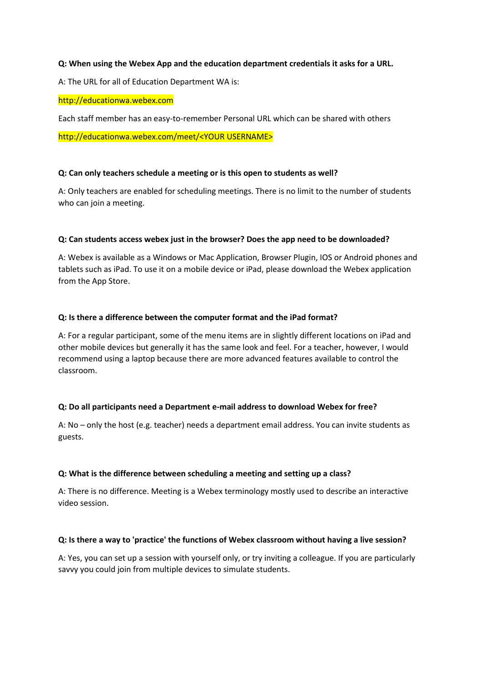#### **Q: When using the Webex App and the education department credentials it asks for a URL.**

A: The URL for all of Education Department WA is:

#### http://educationwa.webex.com

Each staff member has an easy-to-remember Personal URL which can be shared with others

http://educationwa.webex.com/meet/<YOUR USERNAME>

#### **Q: Can only teachers schedule a meeting or is this open to students as well?**

A: Only teachers are enabled for scheduling meetings. There is no limit to the number of students who can join a meeting.

#### **Q: Can students access webex just in the browser? Does the app need to be downloaded?**

A: Webex is available as a Windows or Mac Application, Browser Plugin, IOS or Android phones and tablets such as iPad. To use it on a mobile device or iPad, please download the Webex application from the App Store.

#### **Q: Is there a difference between the computer format and the iPad format?**

A: For a regular participant, some of the menu items are in slightly different locations on iPad and other mobile devices but generally it has the same look and feel. For a teacher, however, I would recommend using a laptop because there are more advanced features available to control the classroom.

#### **Q: Do all participants need a Department e-mail address to download Webex for free?**

A: No – only the host (e.g. teacher) needs a department email address. You can invite students as guests.

#### **Q: What is the difference between scheduling a meeting and setting up a class?**

A: There is no difference. Meeting is a Webex terminology mostly used to describe an interactive video session.

#### **Q: Is there a way to 'practice' the functions of Webex classroom without having a live session?**

A: Yes, you can set up a session with yourself only, or try inviting a colleague. If you are particularly savvy you could join from multiple devices to simulate students.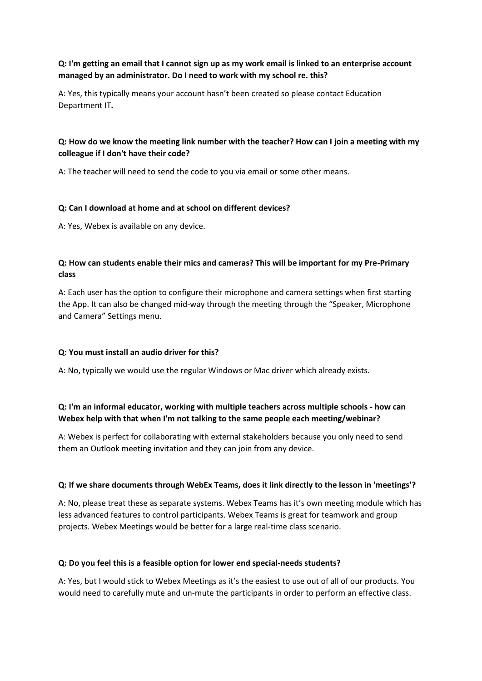### **Q: I'm getting an email that I cannot sign up as my work email is linked to an enterprise account managed by an administrator. Do I need to work with my school re. this?**

A: Yes, this typically means your account hasn't been created so please contact Education Department IT**.**

### **Q: How do we know the meeting link number with the teacher? How can I join a meeting with my colleague if I don't have their code?**

A: The teacher will need to send the code to you via email or some other means.

### **Q: Can I download at home and at school on different devices?**

A: Yes, Webex is available on any device.

### **Q: How can students enable their mics and cameras? This will be important for my Pre-Primary class**

A: Each user has the option to configure their microphone and camera settings when first starting the App. It can also be changed mid-way through the meeting through the "Speaker, Microphone and Camera" Settings menu.

### **Q: You must install an audio driver for this?**

A: No, typically we would use the regular Windows or Mac driver which already exists.

### **Q: I'm an informal educator, working with multiple teachers across multiple schools - how can Webex help with that when I'm not talking to the same people each meeting/webinar?**

A: Webex is perfect for collaborating with external stakeholders because you only need to send them an Outlook meeting invitation and they can join from any device.

#### **Q: If we share documents through WebEx Teams, does it link directly to the lesson in 'meetings'?**

A: No, please treat these as separate systems. Webex Teams has it's own meeting module which has less advanced features to control participants. Webex Teams is great for teamwork and group projects. Webex Meetings would be better for a large real-time class scenario.

#### **Q: Do you feel this is a feasible option for lower end special-needs students?**

A: Yes, but I would stick to Webex Meetings as it's the easiest to use out of all of our products. You would need to carefully mute and un-mute the participants in order to perform an effective class.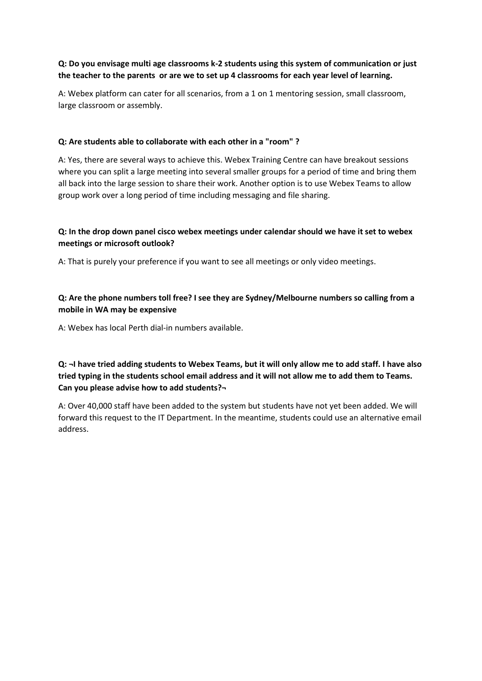### **Q: Do you envisage multi age classrooms k-2 students using this system of communication or just the teacher to the parents or are we to set up 4 classrooms for each year level of learning.**

A: Webex platform can cater for all scenarios, from a 1 on 1 mentoring session, small classroom, large classroom or assembly.

### **Q: Are students able to collaborate with each other in a "room" ?**

A: Yes, there are several ways to achieve this. Webex Training Centre can have breakout sessions where you can split a large meeting into several smaller groups for a period of time and bring them all back into the large session to share their work. Another option is to use Webex Teams to allow group work over a long period of time including messaging and file sharing.

### **Q: In the drop down panel cisco webex meetings under calendar should we have it set to webex meetings or microsoft outlook?**

A: That is purely your preference if you want to see all meetings or only video meetings.

### **Q: Are the phone numbers toll free? I see they are Sydney/Melbourne numbers so calling from a mobile in WA may be expensive**

A: Webex has local Perth dial-in numbers available.

**Q: ¬I have tried adding students to Webex Teams, but it will only allow me to add staff. I have also tried typing in the students school email address and it will not allow me to add them to Teams. Can you please advise how to add students?¬**

A: Over 40,000 staff have been added to the system but students have not yet been added. We will forward this request to the IT Department. In the meantime, students could use an alternative email address.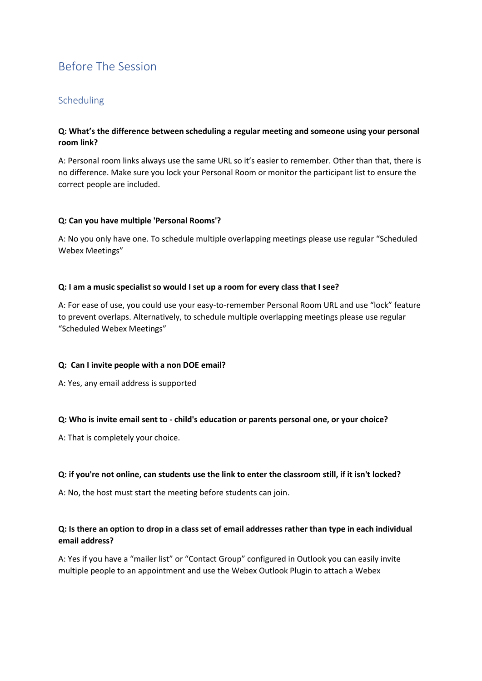# <span id="page-5-0"></span>Before The Session

### <span id="page-5-1"></span>Scheduling

### **Q: What's the difference between scheduling a regular meeting and someone using your personal room link?**

A: Personal room links always use the same URL so it's easier to remember. Other than that, there is no difference. Make sure you lock your Personal Room or monitor the participant list to ensure the correct people are included.

#### **Q: Can you have multiple 'Personal Rooms'?**

A: No you only have one. To schedule multiple overlapping meetings please use regular "Scheduled Webex Meetings"

### **Q: I am a music specialist so would I set up a room for every class that I see?**

A: For ease of use, you could use your easy-to-remember Personal Room URL and use "lock" feature to prevent overlaps. Alternatively, to schedule multiple overlapping meetings please use regular "Scheduled Webex Meetings"

#### **Q: Can I invite people with a non DOE email?**

A: Yes, any email address is supported

### **Q: Who is invite email sent to - child's education or parents personal one, or your choice?**

A: That is completely your choice.

#### **Q: if you're not online, can students use the link to enter the classroom still, if it isn't locked?**

A: No, the host must start the meeting before students can join.

### **Q: Is there an option to drop in a class set of email addresses rather than type in each individual email address?**

A: Yes if you have a "mailer list" or "Contact Group" configured in Outlook you can easily invite multiple people to an appointment and use the Webex Outlook Plugin to attach a Webex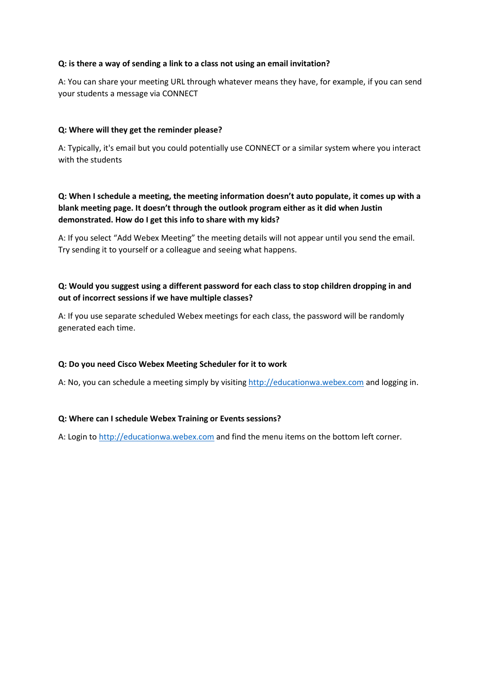### **Q: is there a way of sending a link to a class not using an email invitation?**

A: You can share your meeting URL through whatever means they have, for example, if you can send your students a message via CONNECT

### **Q: Where will they get the reminder please?**

A: Typically, it's email but you could potentially use CONNECT or a similar system where you interact with the students

### **Q: When I schedule a meeting, the meeting information doesn't auto populate, it comes up with a blank meeting page. It doesn't through the outlook program either as it did when Justin demonstrated. How do I get this info to share with my kids?**

A: If you select "Add Webex Meeting" the meeting details will not appear until you send the email. Try sending it to yourself or a colleague and seeing what happens.

### **Q: Would you suggest using a different password for each class to stop children dropping in and out of incorrect sessions if we have multiple classes?**

A: If you use separate scheduled Webex meetings for each class, the password will be randomly generated each time.

### **Q: Do you need Cisco Webex Meeting Scheduler for it to work**

A: No, you can schedule a meeting simply by visiting [http://educationwa.webex.com](http://educationwa.webex.com/) and logging in.

### **Q: Where can I schedule Webex Training or Events sessions?**

A: Login to [http://educationwa.webex.com](http://educationwa.webex.com/) and find the menu items on the bottom left corner.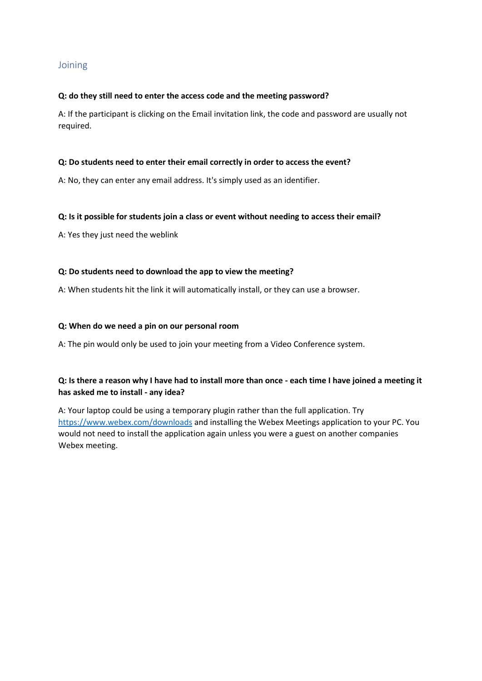### <span id="page-7-0"></span>**Joining**

#### **Q: do they still need to enter the access code and the meeting password?**

A: If the participant is clicking on the Email invitation link, the code and password are usually not required.

#### **Q: Do students need to enter their email correctly in order to access the event?**

A: No, they can enter any email address. It's simply used as an identifier.

#### **Q: Is it possible for students join a class or event without needing to access their email?**

A: Yes they just need the weblink

#### **Q: Do students need to download the app to view the meeting?**

A: When students hit the link it will automatically install, or they can use a browser.

#### **Q: When do we need a pin on our personal room**

A: The pin would only be used to join your meeting from a Video Conference system.

### **Q: Is there a reason why I have had to install more than once - each time I have joined a meeting it has asked me to install - any idea?**

A: Your laptop could be using a temporary plugin rather than the full application. Try <https://www.webex.com/downloads> and installing the Webex Meetings application to your PC. You would not need to install the application again unless you were a guest on another companies Webex meeting.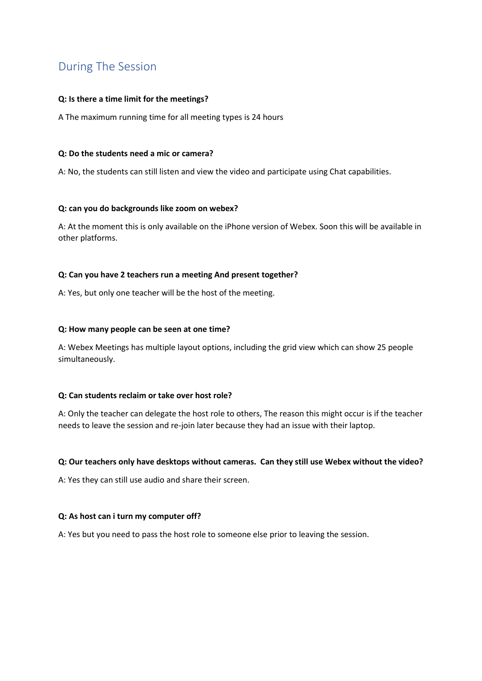# <span id="page-8-0"></span>During The Session

### **Q: Is there a time limit for the meetings?**

A The maximum running time for all meeting types is 24 hours

#### **Q: Do the students need a mic or camera?**

A: No, the students can still listen and view the video and participate using Chat capabilities.

### **Q: can you do backgrounds like zoom on webex?**

A: At the moment this is only available on the iPhone version of Webex. Soon this will be available in other platforms.

### **Q: Can you have 2 teachers run a meeting And present together?**

A: Yes, but only one teacher will be the host of the meeting.

### **Q: How many people can be seen at one time?**

A: Webex Meetings has multiple layout options, including the grid view which can show 25 people simultaneously.

#### **Q: Can students reclaim or take over host role?**

A: Only the teacher can delegate the host role to others, The reason this might occur is if the teacher needs to leave the session and re-join later because they had an issue with their laptop.

#### **Q: Our teachers only have desktops without cameras. Can they still use Webex without the video?**

A: Yes they can still use audio and share their screen.

#### **Q: As host can i turn my computer off?**

A: Yes but you need to pass the host role to someone else prior to leaving the session.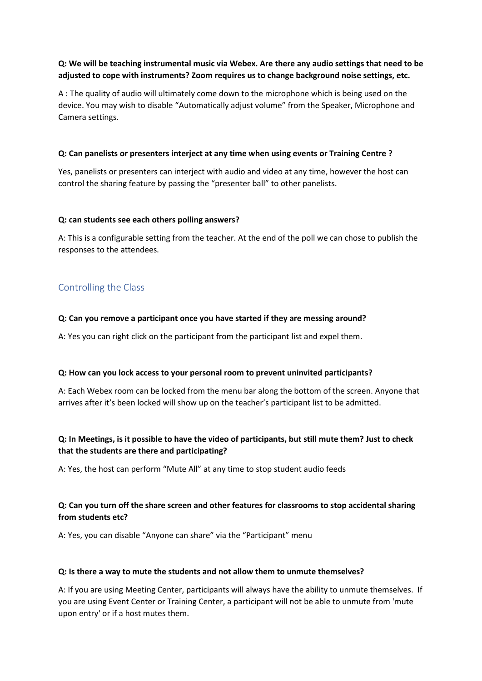### **Q: We will be teaching instrumental music via Webex. Are there any audio settings that need to be adjusted to cope with instruments? Zoom requires us to change background noise settings, etc.**

A : The quality of audio will ultimately come down to the microphone which is being used on the device. You may wish to disable "Automatically adjust volume" from the Speaker, Microphone and Camera settings.

#### **Q: Can panelists or presenters interject at any time when using events or Training Centre ?**

Yes, panelists or presenters can interject with audio and video at any time, however the host can control the sharing feature by passing the "presenter ball" to other panelists.

### **Q: can students see each others polling answers?**

A: This is a configurable setting from the teacher. At the end of the poll we can chose to publish the responses to the attendees.

### <span id="page-9-0"></span>Controlling the Class

### **Q: Can you remove a participant once you have started if they are messing around?**

A: Yes you can right click on the participant from the participant list and expel them.

#### **Q: How can you lock access to your personal room to prevent uninvited participants?**

A: Each Webex room can be locked from the menu bar along the bottom of the screen. Anyone that arrives after it's been locked will show up on the teacher's participant list to be admitted.

### **Q: In Meetings, is it possible to have the video of participants, but still mute them? Just to check that the students are there and participating?**

A: Yes, the host can perform "Mute All" at any time to stop student audio feeds

### **Q: Can you turn off the share screen and other features for classrooms to stop accidental sharing from students etc?**

A: Yes, you can disable "Anyone can share" via the "Participant" menu

#### **Q: Is there a way to mute the students and not allow them to unmute themselves?**

A: If you are using Meeting Center, participants will always have the ability to unmute themselves. If you are using Event Center or Training Center, a participant will not be able to unmute from 'mute upon entry' or if a host mutes them.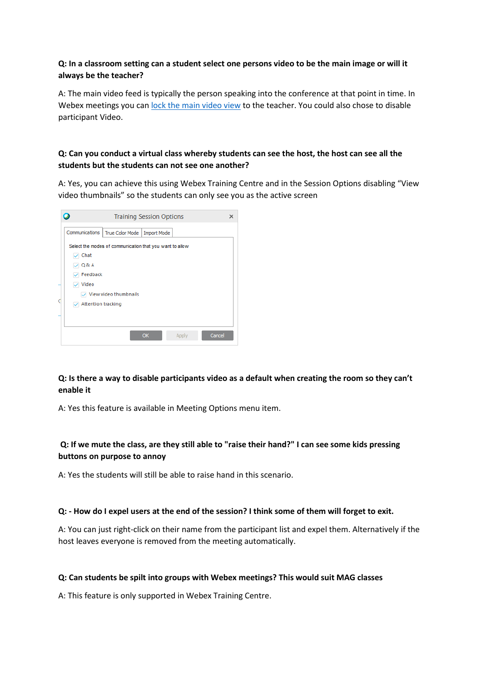### **Q: In a classroom setting can a student select one persons video to be the main image or will it always be the teacher?**

A: The main video feed is typically the person speaking into the conference at that point in time. In Webex meetings you can lock the main [video view](https://help.webex.com/en-us/la12o0/Select-Who-You-Want-to-Focus-on-in-a-Cisco-Webex-Meeting) to the teacher. You could also chose to disable participant Video.

### **Q: Can you conduct a virtual class whereby students can see the host, the host can see all the students but the students can not see one another?**

A: Yes, you can achieve this using Webex Training Centre and in the Session Options disabling "View video thumbnails" so the students can only see you as the active screen

|   | <b>Training Session Options</b>                                  | × |
|---|------------------------------------------------------------------|---|
|   | Communications<br><b>True Color Mode</b><br><b>Import Mode</b>   |   |
|   | Select the modes of communication that you want to allow<br>Chat |   |
|   | 21 Q& A<br>Feedback<br>Video                                     |   |
| ₫ | $\sqrt{ }$ View video thumbnails<br><b>Attention tracking</b>    |   |
|   |                                                                  |   |
|   | Cancel<br><b>OK</b><br>Apply                                     |   |

### **Q: Is there a way to disable participants video as a default when creating the room so they can't enable it**

A: Yes this feature is available in Meeting Options menu item.

### **Q: If we mute the class, are they still able to "raise their hand?" I can see some kids pressing buttons on purpose to annoy**

A: Yes the students will still be able to raise hand in this scenario.

#### **Q: - How do I expel users at the end of the session? I think some of them will forget to exit.**

A: You can just right-click on their name from the participant list and expel them. Alternatively if the host leaves everyone is removed from the meeting automatically.

#### **Q: Can students be spilt into groups with Webex meetings? This would suit MAG classes**

A: This feature is only supported in Webex Training Centre.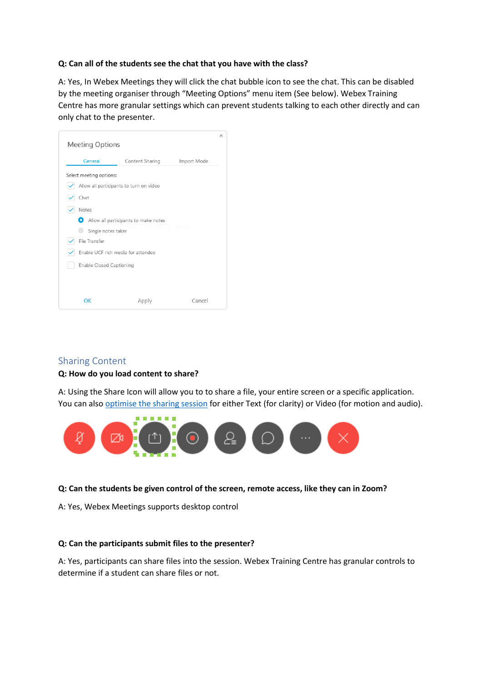### **Q: Can all of the students see the chat that you have with the class?**

A: Yes, In Webex Meetings they will click the chat bubble icon to see the chat. This can be disabled by the meeting organiser through "Meeting Options" menu item (See below). Webex Training Centre has more granular settings which can prevent students talking to each other directly and can only chat to the presenter.



### <span id="page-11-0"></span>Sharing Content

#### **Q: How do you load content to share?**

A: Using the Share Icon will allow you to to share a file, your entire screen or a specific application. You can also [optimise the sharing session](https://help.webex.com/en-us/517f0j/Share-Motion-and-Video-Content-in-Cisco-Webex-Meetings) for either Text (for clarity) or Video (for motion and audio).



#### **Q: Can the students be given control of the screen, remote access, like they can in Zoom?**

A: Yes, Webex Meetings supports desktop control

#### **Q: Can the participants submit files to the presenter?**

A: Yes, participants can share files into the session. Webex Training Centre has granular controls to determine if a student can share files or not.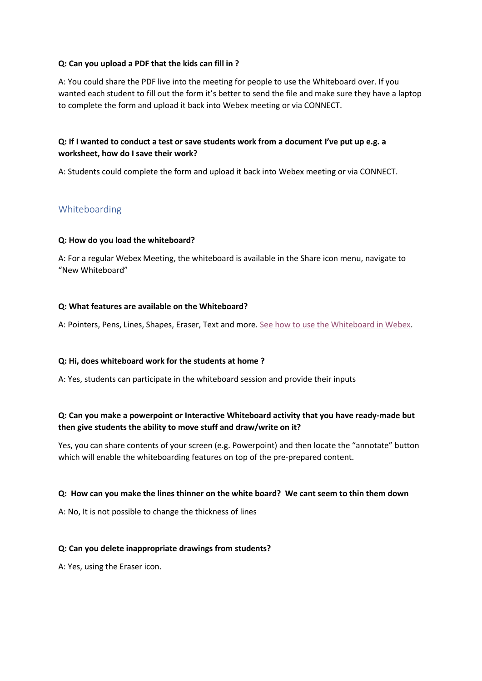#### **Q: Can you upload a PDF that the kids can fill in ?**

A: You could share the PDF live into the meeting for people to use the Whiteboard over. If you wanted each student to fill out the form it's better to send the file and make sure they have a laptop to complete the form and upload it back into Webex meeting or via CONNECT.

### **Q: If I wanted to conduct a test or save students work from a document I've put up e.g. a worksheet, how do I save their work?**

A: Students could complete the form and upload it back into Webex meeting or via CONNECT.

### <span id="page-12-0"></span>Whiteboarding

### **Q: How do you load the whiteboard?**

A: For a regular Webex Meeting, the whiteboard is available in the Share icon menu, navigate to "New Whiteboard"

### **Q: What features are available on the Whiteboard?**

A: Pointers, Pens, Lines, Shapes, Eraser, Text and more. [See how to use the Whiteboard in Webex.](https://help.webex.com/en-us/nytdb92/Use-the-Whiteboard-in-Cisco-Webex-Meetings)

#### **Q: Hi, does whiteboard work for the students at home ?**

A: Yes, students can participate in the whiteboard session and provide their inputs

### **Q: Can you make a powerpoint or Interactive Whiteboard activity that you have ready-made but then give students the ability to move stuff and draw/write on it?**

Yes, you can share contents of your screen (e.g. Powerpoint) and then locate the "annotate" button which will enable the whiteboarding features on top of the pre-prepared content.

#### **Q: How can you make the lines thinner on the white board? We cant seem to thin them down**

A: No, It is not possible to change the thickness of lines

#### **Q: Can you delete inappropriate drawings from students?**

A: Yes, using the Eraser icon.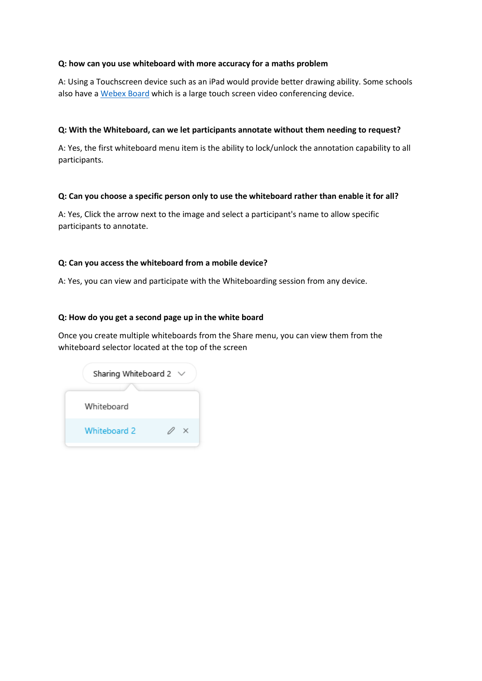#### **Q: how can you use whiteboard with more accuracy for a maths problem**

A: Using a Touchscreen device such as an iPad would provide better drawing ability. Some schools also have a [Webex Board](https://projectworkplace.cisco.com/en-us/devices/webexboard55) which is a large touch screen video conferencing device.

#### **Q: With the Whiteboard, can we let participants annotate without them needing to request?**

A: Yes, the first whiteboard menu item is the ability to lock/unlock the annotation capability to all participants.

### **Q: Can you choose a specific person only to use the whiteboard rather than enable it for all?**

A: Yes, Click the arrow next to the image and select a participant's name to allow specific participants to annotate.

### **Q: Can you access the whiteboard from a mobile device?**

A: Yes, you can view and participate with the Whiteboarding session from any device.

### **Q: How do you get a second page up in the white board**

Once you create multiple whiteboards from the Share menu, you can view them from the whiteboard selector located at the top of the screen

| Sharing Whiteboard 2 | $\checkmark$ |
|----------------------|--------------|
| Whiteboard           |              |
| Whiteboard 2         |              |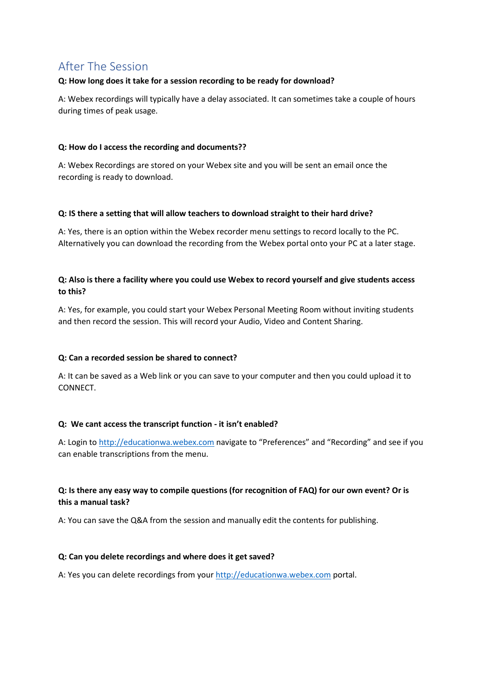# <span id="page-14-0"></span>After The Session

### **Q: How long does it take for a session recording to be ready for download?**

A: Webex recordings will typically have a delay associated. It can sometimes take a couple of hours during times of peak usage.

### **Q: How do I access the recording and documents??**

A: Webex Recordings are stored on your Webex site and you will be sent an email once the recording is ready to download.

### **Q: IS there a setting that will allow teachers to download straight to their hard drive?**

A: Yes, there is an option within the Webex recorder menu settings to record locally to the PC. Alternatively you can download the recording from the Webex portal onto your PC at a later stage.

### **Q: Also is there a facility where you could use Webex to record yourself and give students access to this?**

A: Yes, for example, you could start your Webex Personal Meeting Room without inviting students and then record the session. This will record your Audio, Video and Content Sharing.

### **Q: Can a recorded session be shared to connect?**

A: It can be saved as a Web link or you can save to your computer and then you could upload it to CONNECT.

#### **Q: We cant access the transcript function - it isn't enabled?**

A: Login to [http://educationwa.webex.com](http://educationwa.webex.com/) navigate to "Preferences" and "Recording" and see if you can enable transcriptions from the menu.

### **Q: Is there any easy way to compile questions (for recognition of FAQ) for our own event? Or is this a manual task?**

A: You can save the Q&A from the session and manually edit the contents for publishing.

#### **Q: Can you delete recordings and where does it get saved?**

A: Yes you can delete recordings from you[r http://educationwa.webex.com](http://educationwa.webex.com/) portal.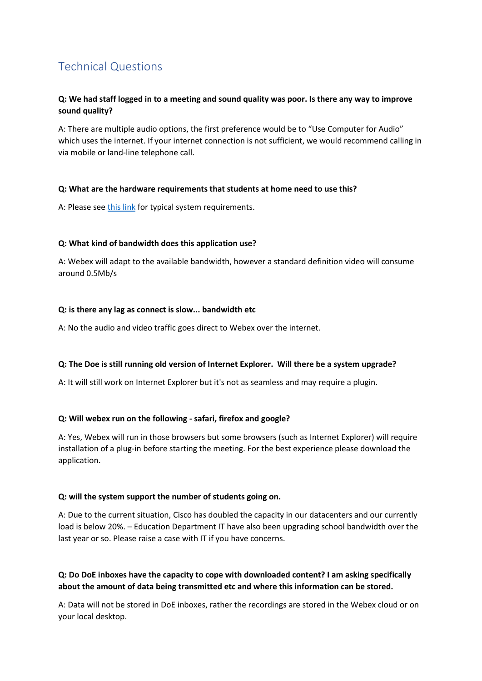# <span id="page-15-0"></span>Technical Questions

### **Q: We had staff logged in to a meeting and sound quality was poor. Is there any way to improve sound quality?**

A: There are multiple audio options, the first preference would be to "Use Computer for Audio" which uses the internet. If your internet connection is not sufficient, we would recommend calling in via mobile or land-line telephone call.

### **Q: What are the hardware requirements that students at home need to use this?**

A: Please se[e this link](https://help.webex.com/en-us/nk90t65/System-Requirements-for-Cisco-Webex-Teams) for typical system requirements.

### **Q: What kind of bandwidth does this application use?**

A: Webex will adapt to the available bandwidth, however a standard definition video will consume around 0.5Mb/s

### **Q: is there any lag as connect is slow... bandwidth etc**

A: No the audio and video traffic goes direct to Webex over the internet.

#### **Q: The Doe is still running old version of Internet Explorer. Will there be a system upgrade?**

A: It will still work on Internet Explorer but it's not as seamless and may require a plugin.

### **Q: Will webex run on the following - safari, firefox and google?**

A: Yes, Webex will run in those browsers but some browsers (such as Internet Explorer) will require installation of a plug-in before starting the meeting. For the best experience please download the application.

#### **Q: will the system support the number of students going on.**

A: Due to the current situation, Cisco has doubled the capacity in our datacenters and our currently load is below 20%. – Education Department IT have also been upgrading school bandwidth over the last year or so. Please raise a case with IT if you have concerns.

### **Q: Do DoE inboxes have the capacity to cope with downloaded content? I am asking specifically about the amount of data being transmitted etc and where this information can be stored.**

A: Data will not be stored in DoE inboxes, rather the recordings are stored in the Webex cloud or on your local desktop.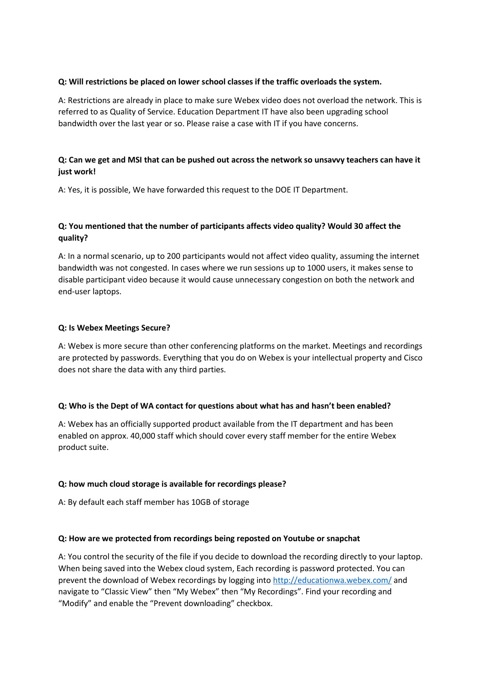### **Q: Will restrictions be placed on lower school classes if the traffic overloads the system.**

A: Restrictions are already in place to make sure Webex video does not overload the network. This is referred to as Quality of Service. Education Department IT have also been upgrading school bandwidth over the last year or so. Please raise a case with IT if you have concerns.

### **Q: Can we get and MSI that can be pushed out across the network so unsavvy teachers can have it just work!**

A: Yes, it is possible, We have forwarded this request to the DOE IT Department.

### **Q: You mentioned that the number of participants affects video quality? Would 30 affect the quality?**

A: In a normal scenario, up to 200 participants would not affect video quality, assuming the internet bandwidth was not congested. In cases where we run sessions up to 1000 users, it makes sense to disable participant video because it would cause unnecessary congestion on both the network and end-user laptops.

### **Q: Is Webex Meetings Secure?**

A: Webex is more secure than other conferencing platforms on the market. Meetings and recordings are protected by passwords. Everything that you do on Webex is your intellectual property and Cisco does not share the data with any third parties.

### **Q: Who is the Dept of WA contact for questions about what has and hasn't been enabled?**

A: Webex has an officially supported product available from the IT department and has been enabled on approx. 40,000 staff which should cover every staff member for the entire Webex product suite.

#### **Q: how much cloud storage is available for recordings please?**

A: By default each staff member has 10GB of storage

#### **Q: How are we protected from recordings being reposted on Youtube or snapchat**

A: You control the security of the file if you decide to download the recording directly to your laptop. When being saved into the Webex cloud system, Each recording is password protected. You can prevent the download of Webex recordings by logging into<http://educationwa.webex.com/> and navigate to "Classic View" then "My Webex" then "My Recordings". Find your recording and "Modify" and enable the "Prevent downloading" checkbox.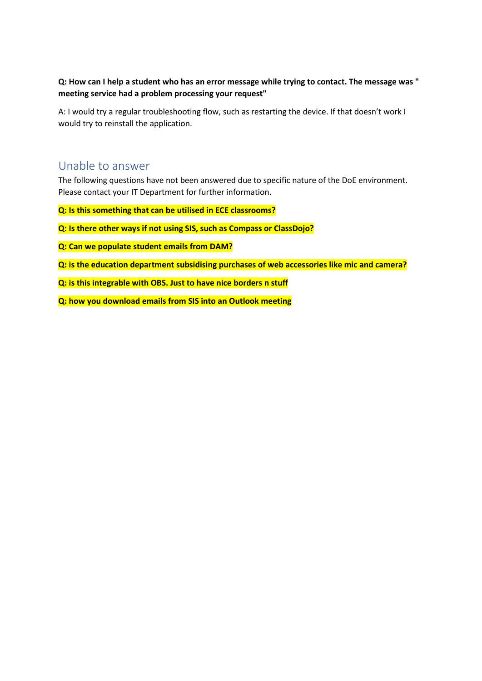### **Q: How can I help a student who has an error message while trying to contact. The message was " meeting service had a problem processing your request"**

A: I would try a regular troubleshooting flow, such as restarting the device. If that doesn't work I would try to reinstall the application.

## <span id="page-17-0"></span>Unable to answer

The following questions have not been answered due to specific nature of the DoE environment. Please contact your IT Department for further information.

**Q: Is this something that can be utilised in ECE classrooms?**

- **Q: Is there other ways if not using SIS, such as Compass or ClassDojo?**
- **Q: Can we populate student emails from DAM?**
- **Q: is the education department subsidising purchases of web accessories like mic and camera?**
- **Q: is this integrable with OBS. Just to have nice borders n stuff**
- **Q: how you download emails from SIS into an Outlook meeting**